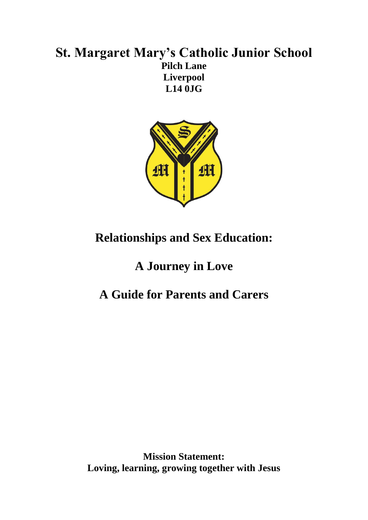### **St. Margaret Mary's Catholic Junior School Pilch Lane Liverpool L14 0JG**



## **Relationships and Sex Education:**

# **A Journey in Love**

## **A Guide for Parents and Carers**

**Mission Statement: Loving, learning, growing together with Jesus**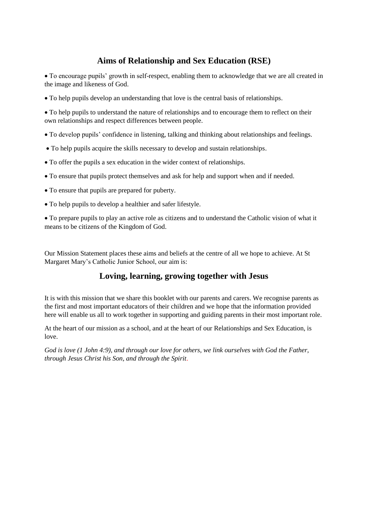### **Aims of Relationship and Sex Education (RSE)**

 To encourage pupils' growth in self-respect, enabling them to acknowledge that we are all created in the image and likeness of God.

To help pupils develop an understanding that love is the central basis of relationships.

 To help pupils to understand the nature of relationships and to encourage them to reflect on their own relationships and respect differences between people.

- To develop pupils' confidence in listening, talking and thinking about relationships and feelings.
- To help pupils acquire the skills necessary to develop and sustain relationships.
- To offer the pupils a sex education in the wider context of relationships.
- To ensure that pupils protect themselves and ask for help and support when and if needed.
- To ensure that pupils are prepared for puberty.
- To help pupils to develop a healthier and safer lifestyle.

 To prepare pupils to play an active role as citizens and to understand the Catholic vision of what it means to be citizens of the Kingdom of God.

Our Mission Statement places these aims and beliefs at the centre of all we hope to achieve. At St Margaret Mary's Catholic Junior School, our aim is:

### **Loving, learning, growing together with Jesus**

It is with this mission that we share this booklet with our parents and carers. We recognise parents as the first and most important educators of their children and we hope that the information provided here will enable us all to work together in supporting and guiding parents in their most important role.

At the heart of our mission as a school, and at the heart of our Relationships and Sex Education, is love.

*God is love (1 John 4:9), and through our love for others, we link ourselves with God the Father, through Jesus Christ his Son, and through the Spirit*.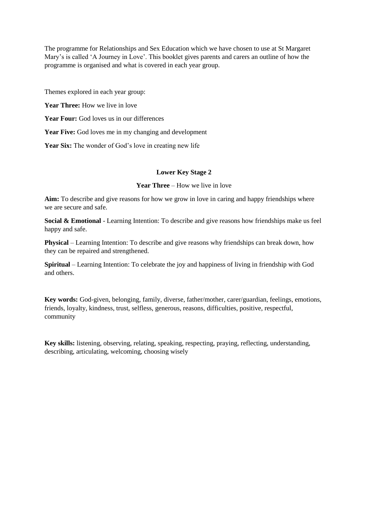The programme for Relationships and Sex Education which we have chosen to use at St Margaret Mary's is called 'A Journey in Love'. This booklet gives parents and carers an outline of how the programme is organised and what is covered in each year group.

Themes explored in each year group:

**Year Three:** How we live in love

**Year Four:** God loves us in our differences

**Year Five:** God loves me in my changing and development

Year Six: The wonder of God's love in creating new life

#### **Lower Key Stage 2**

#### **Year Three** – How we live in love

**Aim:** To describe and give reasons for how we grow in love in caring and happy friendships where we are secure and safe.

**Social & Emotional** - Learning Intention: To describe and give reasons how friendships make us feel happy and safe.

**Physical** – Learning Intention: To describe and give reasons why friendships can break down, how they can be repaired and strengthened.

**Spiritual** – Learning Intention: To celebrate the joy and happiness of living in friendship with God and others.

**Key words:** God-given, belonging, family, diverse, father/mother, carer/guardian, feelings, emotions, friends, loyalty, kindness, trust, selfless, generous, reasons, difficulties, positive, respectful, community

**Key skills:** listening, observing, relating, speaking, respecting, praying, reflecting, understanding, describing, articulating, welcoming, choosing wisely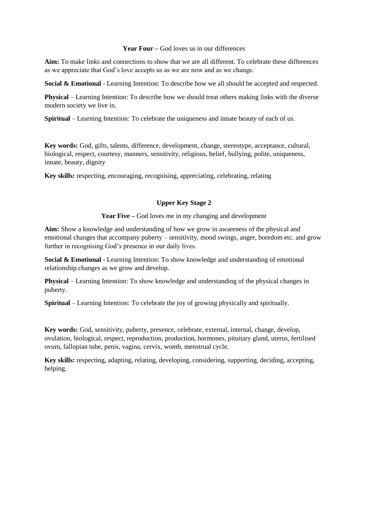#### **Year Four –** God loves us in our differences

**Aim:** To make links and connections to show that we are all different. To celebrate these differences as we appreciate that God's love accepts us as we are now and as we change.

**Social & Emotional** - Learning Intention: To describe how we all should be accepted and respected.

**Physical** – Learning Intention: To describe how we should treat others making links with the diverse modern society we live in.

**Spiritual** – Learning Intention: To celebrate the uniqueness and innate beauty of each of us.

**Key words:** God, gifts, talents, difference, development, change, stereotype, acceptance, cultural, biological, respect, courtesy, manners, sensitivity, religious, belief, bullying, polite, uniqueness, innate, beauty, dignity

**Key skills:** respecting, encouraging, recognising, appreciating, celebrating, relating

#### **Upper Key Stage 2**

**Year Five –** God loves me in my changing and development

**Aim:** Show a knowledge and understanding of how we grow in awareness of the physical and emotional changes that accompany puberty – sensitivity, mood swings, anger, boredom etc. and grow further in recognising God's presence in our daily lives.

**Social & Emotional** - Learning Intention: To show knowledge and understanding of emotional relationship changes as we grow and develop.

**Physical** – Learning Intention: To show knowledge and understanding of the physical changes in puberty.

**Spiritual** – Learning Intention: To celebrate the joy of growing physically and spiritually.

**Key words:** God, sensitivity, puberty, presence, celebrate, external, internal, change, develop, ovulation, biological, respect, reproduction, production, hormones, pituitary gland, uterus, fertilised ovum, fallopian tube, penis, vagina, cervix, womb, menstrual cycle.

**Key skills:** respecting, adapting, relating, developing, considering, supporting, deciding, accepting, helping.